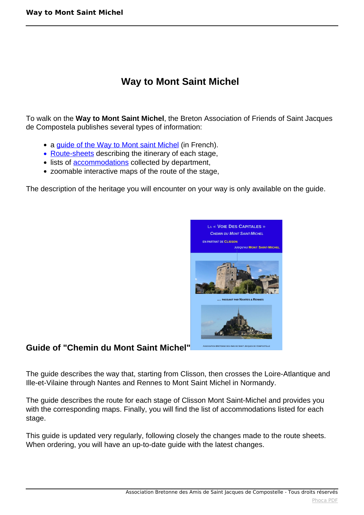# **Way to Mont Saint Michel**

To walk on the **Way to Mont Saint Michel**, the Breton Association of Friends of Saint Jacques de Compostela publishes several types of information:

- a guide of the Way to Mont saint Michel (in French).
- Route-sheets describing the itinerary of each stage,
- lists of **accommodations** collected by department,
- zoomable interactive maps of the route of the stage,

The description of the heritage you will encounter on your way is only available on the guide.



## **Guide of "Chemin du Mont Saint Michel"**

The guide describes the way that, starting from Clisson, then crosses the Loire-Atlantique and Ille-et-Vilaine through Nantes and Rennes to Mont Saint Michel in Normandy.

The guide describes the route for each stage of Clisson Mont Saint-Michel and provides you with the corresponding maps. Finally, you will find the list of accommodations listed for each stage.

This guide is updated very regularly, following closely the changes made to the route sheets. When ordering, you will have an up-to-date guide with the latest changes.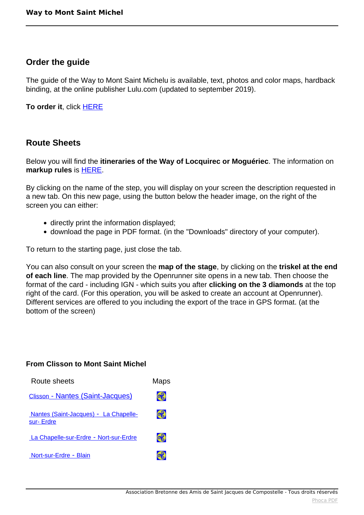# **Order the guide**

The guide of the Way to Mont Saint Michelu is available, text, photos and color maps, hardback binding, at the online publisher Lulu.com (updated to september 2019).

**To order it**, click [HERE](http://www.lulu.com/shop/association-bretonne-amis-de-saint-jacques/guide-du-chemin-du-mont-saint-michel/paperback/product-23227298.html)

## **Route Sheets**

Below you will find the **itineraries of the Way of Locquirec or Moguériec**. The information on **markup rules** is [HERE.](index.php?option=com_content&view=article&id=108:balisage&catid=24:chemin&Itemid=187)

By clicking on the name of the step, you will display on your screen the description requested in a new tab. On this new page, using the button below the header image, on the right of the screen you can either:

- directly print the information displayed;
- download the page in PDF format. (in the "Downloads" directory of your computer).

To return to the starting page, just close the tab.

You can also consult on your screen the **map of the stage**, by clicking on the **triskel at the end of each line**. The map provided by the Openrunner site opens in a new tab. Then choose the format of the card - including IGN - which suits you after **clicking on the 3 diamonds** at the top right of the card. (For this operation, you will be asked to create an account at Openrunner). Different services are offered to you including the export of the trace in GPS format. (at the bottom of the screen)

#### **From Clisson to Mont Saint Michel**